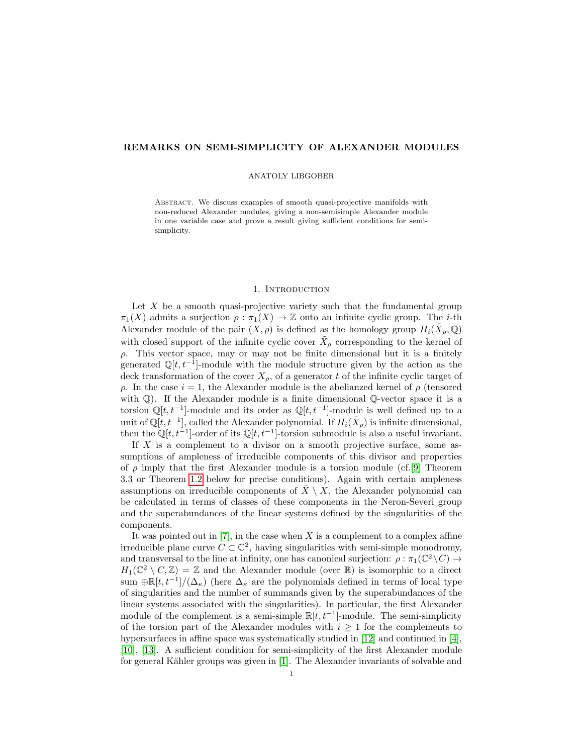# REMARKS ON SEMI-SIMPLICITY OF ALEXANDER MODULES

## ANATOLY LIBGOBER

Abstract. We discuss examples of smooth quasi-projective manifolds with non-reduced Alexander modules, giving a non-semisimple Alexander module in one variable case and prove a result giving sufficient conditions for semisimplicity.

## 1. INTRODUCTION

Let  $X$  be a smooth quasi-projective variety such that the fundamental group  $\pi_1(X)$  admits a surjection  $\rho : \pi_1(X) \to \mathbb{Z}$  onto an infinite cyclic group. The *i*-th Alexander module of the pair  $(X, \rho)$  is defined as the homology group  $H_i(\tilde{X}_{\rho}, \mathbb{Q})$ with closed support of the infinite cyclic cover  $\tilde{X}_{\rho}$  corresponding to the kernel of  $\rho$ . This vector space, may or may not be finite dimensional but it is a finitely generated  $\mathbb{Q}[t, t^{-1}]$ -module with the module structure given by the action as the deck transformation of the cover  $X_{\rho}$ , of a generator t of the infinite cyclic target of  $ρ$ . In the case  $i = 1$ , the Alexander module is the abelianzed kernel of  $ρ$  (tensored with  $\mathbb{Q}$ ). If the Alexander module is a finite dimensional  $\mathbb{Q}$ -vector space it is a torsion  $\mathbb{Q}[t, t^{-1}]$ -module and its order as  $\mathbb{Q}[t, t^{-1}]$ -module is well defined up to a unit of  $\mathbb{Q}[t, t^{-1}]$ , called the Alexander polynomial. If  $H_i(\tilde{X}_{\rho})$  is infinite dimensional, then the  $\mathbb{Q}[t, t^{-1}]$ -order of its  $\mathbb{Q}[t, t^{-1}]$ -torsion submodule is also a useful invariant.

If  $X$  is a complement to a divisor on a smooth projective surface, some assumptions of ampleness of irreducible components of this divisor and properties of  $\rho$  imply that the first Alexander module is a torsion module (cf.[\[9\]](#page-5-0) Theorem 3.3 or Theorem [1.2](#page-2-0) below for precise conditions). Again with certain ampleness assumptions on irreducible components of  $X \setminus X$ , the Alexander polynomial can be calculated in terms of classes of these components in the Neron-Severi group and the superabundances of the linear systems defined by the singularities of the components.

It was pointed out in  $[7]$ , in the case when X is a complement to a complex affine irreducible plane curve  $C \subset \mathbb{C}^2$ , having singularities with semi-simple monodromy, and transversal to the line at infinity, one has canonical surjection:  $\rho : \pi_1(\mathbb{C}^2 \setminus C) \to$  $H_1(\mathbb{C}^2 \setminus C, \mathbb{Z}) = \mathbb{Z}$  and the Alexander module (over  $\mathbb{R}$ ) is isomorphic to a direct sum  $\bigoplus \mathbb{R}[t, t^{-1}]/(\Delta_{\kappa})$  (here  $\Delta_{\kappa}$  are the polynomials defined in terms of local type of singularities and the number of summands given by the superabundances of the linear systems associated with the singularities). In particular, the first Alexander module of the complement is a semi-simple  $\mathbb{R}[t, t^{-1}]$ -module. The semi-simplicity of the torsion part of the Alexander modules with  $i \geq 1$  for the complements to hypersurfaces in affine space was systematically studied in [\[12\]](#page-5-2) and continued in [\[4\]](#page-5-3), [\[10\]](#page-5-4), [\[13\]](#page-5-5). A sufficient condition for semi-simplicity of the first Alexander module for general Kähler groups was given in [\[1\]](#page-5-6). The Alexander invariants of solvable and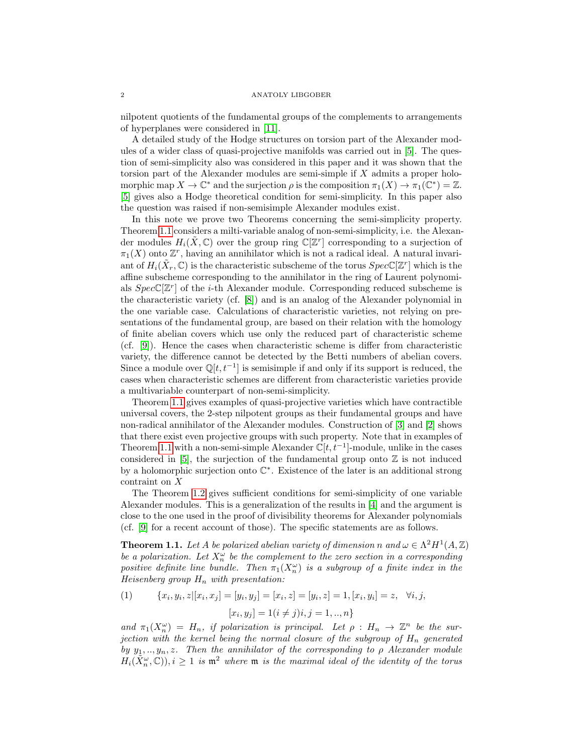nilpotent quotients of the fundamental groups of the complements to arrangements of hyperplanes were considered in [\[11\]](#page-5-7).

A detailed study of the Hodge structures on torsion part of the Alexander modules of a wider class of quasi-projective manifolds was carried out in [\[5\]](#page-5-8). The question of semi-simplicity also was considered in this paper and it was shown that the torsion part of the Alexander modules are semi-simple if X admits a proper holomorphic map  $X \to \mathbb{C}^*$  and the surjection  $\rho$  is the composition  $\pi_1(X) \to \pi_1(\mathbb{C}^*) = \mathbb{Z}$ . [\[5\]](#page-5-8) gives also a Hodge theoretical condition for semi-simplicity. In this paper also the question was raised if non-semisimple Alexander modules exist.

In this note we prove two Theorems concerning the semi-simplicity property. Theorem [1.1](#page-1-0) considers a milti-variable analog of non-semi-simplicity, i.e. the Alexander modules  $H_i(\tilde{X}, \mathbb{C})$  over the group ring  $\mathbb{C}[\mathbb{Z}^r]$  corresponding to a surjection of  $\pi_1(X)$  onto  $\mathbb{Z}^r$ , having an annihilator which is not a radical ideal. A natural invariant of  $H_i(\tilde{X}_r, \mathbb{C})$  is the characteristic subscheme of the torus  $Spec \mathbb{C}[\mathbb{Z}^r]$  which is the affine subscheme corresponding to the annihilator in the ring of Laurent polynomials  $Spec \mathbb{C}[\mathbb{Z}^r]$  of the *i*-th Alexander module. Corresponding reduced subscheme is the characteristic variety (cf. [\[8\]](#page-5-9)) and is an analog of the Alexander polynomial in the one variable case. Calculations of characteristic varieties, not relying on presentations of the fundamental group, are based on their relation with the homology of finite abelian covers which use only the reduced part of characteristic scheme (cf. [\[9\]](#page-5-0)). Hence the cases when characteristic scheme is differ from characteristic variety, the difference cannot be detected by the Betti numbers of abelian covers. Since a module over  $\mathbb{Q}[t, t^{-1}]$  is semisimple if and only if its support is reduced, the cases when characteristic schemes are different from characteristic varieties provide a multivariable counterpart of non-semi-simplicity.

Theorem [1.1](#page-1-0) gives examples of quasi-projective varieties which have contractible universal covers, the 2-step nilpotent groups as their fundamental groups and have non-radical annihilator of the Alexander modules. Construction of [\[3\]](#page-5-10) and [\[2\]](#page-5-11) shows that there exist even projective groups with such property. Note that in examples of Theorem [1.1](#page-1-0) with a non-semi-simple Alexander  $\mathbb{C}[t, t^{-1}]$ -module, unlike in the cases considered in [\[5\]](#page-5-8), the surjection of the fundamental group onto  $\mathbb Z$  is not induced by a holomorphic surjection onto  $\mathbb{C}^*$ . Existence of the later is an additional strong contraint on X

The Theorem [1.2](#page-2-0) gives sufficient conditions for semi-simplicity of one variable Alexander modules. This is a generalization of the results in [\[4\]](#page-5-3) and the argument is close to the one used in the proof of divisibility theorems for Alexander polynomials (cf. [\[9\]](#page-5-0) for a recent account of those). The specific statements are as follows.

<span id="page-1-0"></span>**Theorem 1.1.** Let A be polarized abelian variety of dimension n and  $\omega \in \Lambda^2 H^1(A,\mathbb{Z})$ be a polarization. Let  $X_n^{\omega}$  be the complement to the zero section in a corresponding positive definite line bundle. Then  $\pi_1(X_n^{\omega})$  is a subgroup of a finite index in the Heisenberg group  $H_n$  with presentation:

<span id="page-1-1"></span>(1) 
$$
\{x_i, y_i, z | [x_i, x_j] = [y_i, y_j] = [x_i, z] = [y_i, z] = 1, [x_i, y_i] = z, \forall i, j, [x_i, y_j] = 1 (i \neq j) i, j = 1, ..., n \}
$$

and  $\pi_1(X_n^{\omega}) = H_n$ , if polarization is principal. Let  $\rho : H_n \to \mathbb{Z}^n$  be the surjection with the kernel being the normal closure of the subgroup of  $H_n$  generated by  $y_1, \ldots, y_n, z$ . Then the annihilator of the corresponding to  $\rho$  Alexander module  $H_i(\tilde{X}_n^{\omega}(\mathbb{C})), i \geq 1$  is  $\mathfrak{m}^2$  where  $\mathfrak{m}$  is the maximal ideal of the identity of the torus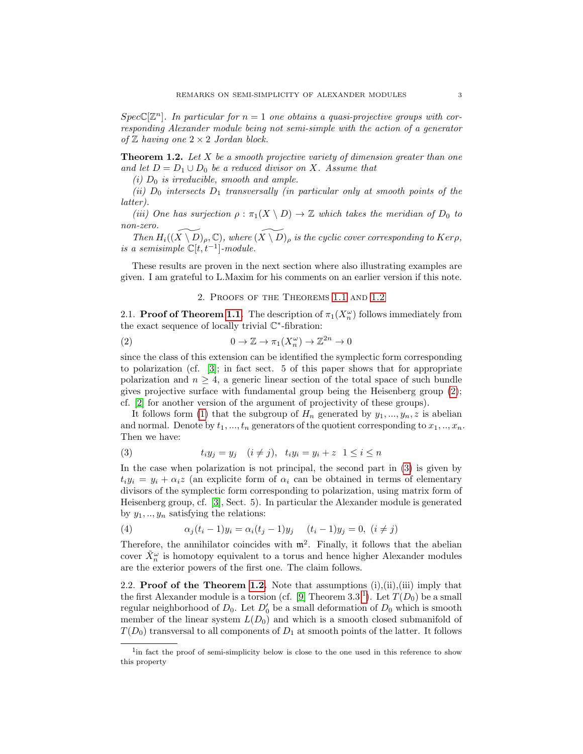$Spec \mathbb{C}[\mathbb{Z}^n]$ . In particular for  $n = 1$  one obtains a quasi-projective groups with corresponding Alexander module being not semi-simple with the action of a generator of  $\mathbb Z$  having one  $2 \times 2$  Jordan block.

<span id="page-2-0"></span>**Theorem 1.2.** Let  $X$  be a smooth projective variety of dimension greater than one and let  $D = D_1 \cup D_0$  be a reduced divisor on X. Assume that

(i)  $D_0$  is irreducible, smooth and ample.

(ii)  $D_0$  intersects  $D_1$  transversally (in particular only at smooth points of the latter).

(iii) One has surjection  $\rho : \pi_1(X \setminus D) \to \mathbb{Z}$  which takes the meridian of  $D_0$  to non-zero.

Then  $H_i((\widetilde{X\setminus D})_\rho, \mathbb{C})$ , where  $(\widetilde{X\setminus D})_\rho$  is the cyclic cover corresponding to Kerp, is a semisimple  $\mathbb{C}[t,t^{-1}]$ -module.

These results are proven in the next section where also illustrating examples are given. I am grateful to L.Maxim for his comments on an earlier version if this note.

## <span id="page-2-1"></span>2. Proofs of the Theorems [1.1](#page-1-0) and [1.2](#page-2-0)

2.1. **Proof of Theorem [1.1.](#page-1-0)** The description of  $\pi_1(X_n^{\omega})$  follows immediately from the exact sequence of locally trivial  $\mathbb{C}^*$ -fibration:

(2) 
$$
0 \to \mathbb{Z} \to \pi_1(X_n^{\omega}) \to \mathbb{Z}^{2n} \to 0
$$

since the class of this extension can be identified the symplectic form corresponding to polarization (cf. [\[3\]](#page-5-10); in fact sect. 5 of this paper shows that for appropriate polarization and  $n \geq 4$ , a generic linear section of the total space of such bundle gives projective surface with fundamental group being the Heisenberg group [\(2\)](#page-2-1); cf. [\[2\]](#page-5-11) for another version of the argument of projectivity of these groups).

It follows form [\(1\)](#page-1-1) that the subgroup of  $H_n$  generated by  $y_1, ..., y_n, z$  is abelian and normal. Denote by  $t_1, ..., t_n$  generators of the quotient corresponding to  $x_1, ..., x_n$ . Then we have:

<span id="page-2-2"></span>(3) 
$$
t_i y_j = y_j \quad (i \neq j), \quad t_i y_i = y_i + z \quad 1 \leq i \leq n
$$

In the case when polarization is not principal, the second part in [\(3\)](#page-2-2) is given by  $t_i y_i = y_i + \alpha_i z$  (an explicite form of  $\alpha_i$  can be obtained in terms of elementary divisors of the symplectic form corresponding to polarization, using matrix form of Heisenberg group, cf. [\[3\]](#page-5-10), Sect. 5). In particular the Alexander module is generated by  $y_1, \ldots, y_n$  satisfying the relations:

(4) 
$$
\alpha_j(t_i - 1)y_i = \alpha_i(t_j - 1)y_j \quad (t_i - 1)y_j = 0, \ (i \neq j)
$$

Therefore, the annihilator coincides with  $m^2$ . Finally, it follows that the abelian cover  $\tilde{X}_n^{\omega}$  is homotopy equivalent to a torus and hence higher Alexander modules are the exterior powers of the first one. The claim follows.

2.2. **Proof of the Theorem [1.2.](#page-2-0)** Note that assumptions  $(i), (ii), (iii)$  imply that the first Alexander module is a torsion (cf. [\[9\]](#page-5-0) Theorem 3.3<sup>-[1](#page-2-3)</sup>). Let  $T(D_0)$  be a small regular neighborhood of  $D_0$ . Let  $D'_0$  be a small deformation of  $D_0$  which is smooth member of the linear system  $L(D_0)$  and which is a smooth closed submanifold of  $T(D_0)$  transversal to all components of  $D_1$  at smooth points of the latter. It follows

<span id="page-2-3"></span><sup>&</sup>lt;sup>1</sup>in fact the proof of semi-simplicity below is close to the one used in this reference to show this property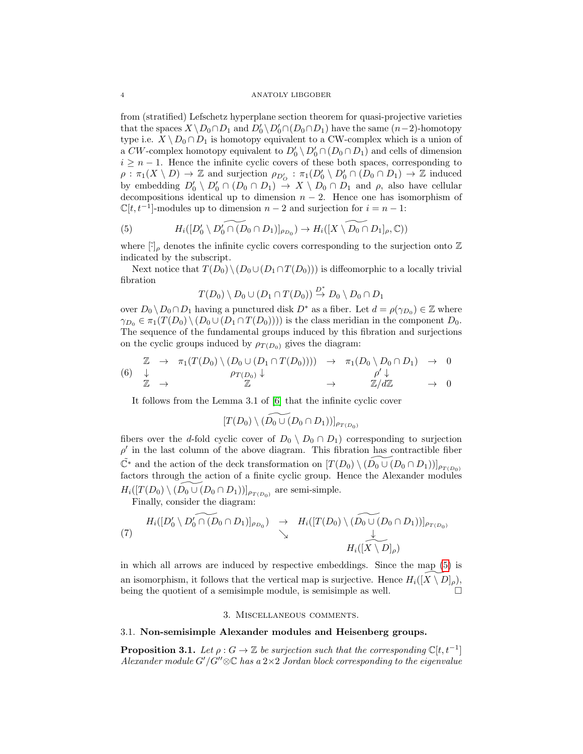#### 4 ANATOLY LIBGOBER

from (stratified) Lefschetz hyperplane section theorem for quasi-projective varieties that the spaces  $X \setminus D_0 \cap D_1$  and  $D'_0 \setminus D'_0 \cap (D_0 \cap D_1)$  have the same  $(n-2)$ -homotopy type i.e.  $X \setminus D_0 \cap D_1$  is homotopy equivalent to a CW-complex which is a union of a CW-complex homotopy equivalent to  $D'_0 \setminus D'_0 \cap (D_0 \cap D_1)$  and cells of dimension  $i \geq n-1$ . Hence the infinite cyclic covers of these both spaces, corresponding to  $\rho: \pi_1(X \setminus D) \to \mathbb{Z}$  and surjection  $\rho_{D'_O} : \pi_1(D'_0 \setminus D'_0 \cap (D_0 \cap D_1) \to \mathbb{Z}$  induced by embedding  $D'_0 \setminus D'_0 \cap (D_0 \cap D_1) \rightarrow X \setminus D_0 \cap D_1$  and  $\rho$ , also have cellular decompositions identical up to dimension  $n-2$ . Hence one has isomorphism of  $\mathbb{C}[t, t^{-1}]$ -modules up to dimension  $n-2$  and surjection for  $i = n-1$ :

<span id="page-3-0"></span>(5) 
$$
H_i([D'_0 \setminus D'_0 \cap (D_0 \cap D_1)]_{\rho_{D_0}}) \to H_i([X \setminus \widetilde{D_0} \cap D_1]_{\rho}, \mathbb{C}))
$$

where  $[\cdot]_{\rho}$  denotes the infinite cyclic covers corresponding to the surjection onto Z indicated by the subscript.

Next notice that  $T(D_0) \setminus (D_0 \cup (D_1 \cap T(D_0)))$  is diffeomorphic to a locally trivial fibration

$$
T(D_0) \setminus D_0 \cup (D_1 \cap T(D_0)) \stackrel{D^*}{\to} D_0 \setminus D_0 \cap D_1
$$

over  $D_0 \setminus D_0 \cap D_1$  having a punctured disk  $D^*$  as a fiber. Let  $d = \rho(\gamma_{D_0}) \in \mathbb{Z}$  where  $\gamma_{D_0} \in \pi_1(T(D_0) \setminus (D_0 \cup (D_1 \cap T(D_0))))$  is the class meridian in the component  $D_0$ . The sequence of the fundamental groups induced by this fibration and surjections on the cyclic groups induced by  $\rho_{T(D_0)}$  gives the diagram:

$$
(6) \begin{array}{cccc} \mathbb{Z} & \to & \pi_1(T(D_0) \setminus (D_0 \cup (D_1 \cap T(D_0)))) & \to & \pi_1(D_0 \setminus D_0 \cap D_1) & \to & 0 \\ \downarrow & & \rho_{T(D_0)} \downarrow & & & \rho' \downarrow \\ \mathbb{Z} & \to & \mathbb{Z} & \to & \mathbb{Z}/d\mathbb{Z} & \to & 0 \end{array}
$$

It follows from the Lemma 3.1 of [\[6\]](#page-5-12) that the infinite cyclic cover

$$
[T(D_0) \setminus (\widetilde{D_0 \cup (D_0 \cap D_1)})]_{\rho_{T(D_0)}}
$$

fibers over the d-fold cyclic cover of  $D_0 \setminus D_0 \cap D_1$  corresponding to surjection  $\rho'$  in the last column of the above diagram. This fibration has contractible fiber  $\tilde{\mathbb{C}}^*$  and the action of the deck transformation on  $[T(D_0) \setminus (D_0 \cup (D_0 \cap D_1))]_{\rho_{T(D_0)}}$ factors through the action of a finite cyclic group. Hence the Alexander modules  $H_i([T(D_0) \setminus \widetilde{(D_0 \cup (D_0 \cap D_1))]_{\rho_{T(D_0)}}$  are semi-simple. Finally, consider the diagram:

$$
(7) \quad H_i([D'_0 \setminus D'_0 \cap (D_0 \cap D_1)]_{\rho_{D_0}}) \rightarrow H_i([T(D_0) \setminus (D_0 \cup (D_0 \cap D_1))]_{\rho_{T(D_0)}})
$$
\n
$$
\downarrow
$$
\n
$$
H_i([\widetilde{X \setminus D}]_{\rho})
$$

in which all arrows are induced by respective embeddings. Since the map [\(5\)](#page-3-0) is an isomorphism, it follows that the vertical map is surjective. Hence  $H_i([X\setminus D]_o)$ , being the quotient of a semisimple module, is semisimple as well.  $\Box$ 

## 3. Miscellaneous comments.

# 3.1. Non-semisimple Alexander modules and Heisenberg groups.

**Proposition 3.1.** Let  $\rho: G \to \mathbb{Z}$  be surjection such that the corresponding  $\mathbb{C}[t, t^{-1}]$ Alexander module G'/G" $\otimes \mathbb{C}$  has a 2×2 Jordan block corresponding to the eigenvalue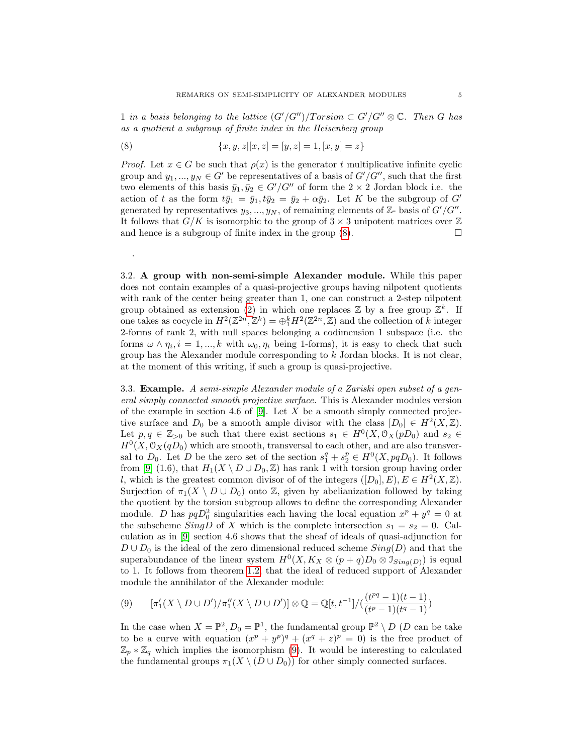1 in a basis belonging to the lattice  $(G'/G'')/Torsion \subset G'/G'' \otimes \mathbb{C}$ . Then G has as a quotient a subgroup of finite index in the Heisenberg group

<span id="page-4-0"></span>(8) 
$$
\{x, y, z | [x, z] = [y, z] = 1, [x, y] = z\}
$$

.

*Proof.* Let  $x \in G$  be such that  $\rho(x)$  is the generator t multiplicative infinite cyclic group and  $y_1, ..., y_N \in G'$  be representatives of a basis of  $G'/G''$ , such that the first two elements of this basis  $\bar{y}_1, \bar{y}_2 \in G'/G''$  of form the  $2 \times 2$  Jordan block i.e. the action of t as the form  $t\bar{y}_1 = \bar{y}_1, t\bar{y}_2 = \bar{y}_2 + \alpha \bar{y}_2$ . Let K be the subgroup of G' generated by representatives  $y_3, ..., y_N$ , of remaining elements of  $\mathbb{Z}$ - basis of  $G'/G''$ . It follows that  $G/K$  is isomorphic to the group of  $3 \times 3$  unipotent matrices over  $\mathbb{Z}$ and hence is a subgroup of finite index in the group  $(8)$ .

3.2. A group with non-semi-simple Alexander module. While this paper does not contain examples of a quasi-projective groups having nilpotent quotients with rank of the center being greater than 1, one can construct a 2-step nilpotent group obtained as extension [\(2\)](#page-2-1) in which one replaces  $\mathbb Z$  by a free group  $\mathbb Z^k$ . If one takes as cocycle in  $H^2(\mathbb{Z}^{2n}, \mathbb{Z}^k) = \bigoplus_{1}^{k} H^2(\mathbb{Z}^{2n}, \mathbb{Z})$  and the collection of k integer 2-forms of rank 2, with null spaces belonging a codimension 1 subspace (i.e. the forms  $\omega \wedge \eta_i$ ,  $i = 1, ..., k$  with  $\omega_0, \eta_i$  being 1-forms), it is easy to check that such group has the Alexander module corresponding to k Jordan blocks. It is not clear, at the moment of this writing, if such a group is quasi-projective.

3.3. Example. A semi-simple Alexander module of a Zariski open subset of a general simply connected smooth projective surface. This is Alexander modules version of the example in section 4.6 of  $[9]$ . Let X be a smooth simply connected projective surface and  $D_0$  be a smooth ample divisor with the class  $[D_0] \in H^2(X,\mathbb{Z})$ . Let  $p, q \in \mathbb{Z}_{>0}$  be such that there exist sections  $s_1 \in H^0(X, \mathcal{O}_X(pD_0))$  and  $s_2 \in$  $H^0(X, \mathcal{O}_X(qD_0))$  which are smooth, transversal to each other, and are also transversal to  $D_0$ . Let D be the zero set of the section  $s_1^q + s_2^p \in H^0(X, pqD_0)$ . It follows from [\[9\]](#page-5-0) (1.6), that  $H_1(X \setminus D \cup D_0, \mathbb{Z})$  has rank 1 with torsion group having order l, which is the greatest common divisor of of the integers  $([D_0], E)$ ,  $E \in H^2(X, \mathbb{Z})$ . Surjection of  $\pi_1(X \setminus D \cup D_0)$  onto Z, given by abelianization followed by taking the quotient by the torsion subgroup allows to define the corresponding Alexander module. D has  $pqD_0^2$  singularities each having the local equation  $x^p + y^q = 0$  at the subscheme SingD of X which is the complete intersection  $s_1 = s_2 = 0$ . Calculation as in [\[9\]](#page-5-0) section 4.6 shows that the sheaf of ideals of quasi-adjunction for  $D \cup D_0$  is the ideal of the zero dimensional reduced scheme  $Sing(D)$  and that the superabundance of the linear system  $H^0(X, K_X \otimes (p+q)D_0 \otimes \mathcal{I}_{Sing(D)})$  is equal to 1. It follows from theorem [1.2,](#page-2-0) that the ideal of reduced support of Alexander module the annihilator of the Alexander module:

<span id="page-4-1"></span>
$$
(9) \qquad [\pi'_1(X \setminus D \cup D')/\pi''_1(X \setminus D \cup D')] \otimes \mathbb{Q} = \mathbb{Q}[t, t^{-1}]/(\frac{(t^{pq} - 1)(t - 1)}{(t^p - 1)(t^q - 1)})
$$

In the case when  $X = \mathbb{P}^2$ ,  $D_0 = \mathbb{P}^1$ , the fundamental group  $\mathbb{P}^2 \setminus D$  (*D* can be take to be a curve with equation  $(x^p + y^p)^q + (x^q + z)^p = 0$  is the free product of  $\mathbb{Z}_p * \mathbb{Z}_q$  which implies the isomorphism [\(9\)](#page-4-1). It would be interesting to calculated the fundamental groups  $\pi_1(X \setminus (D \cup D_0))$  for other simply connected surfaces.